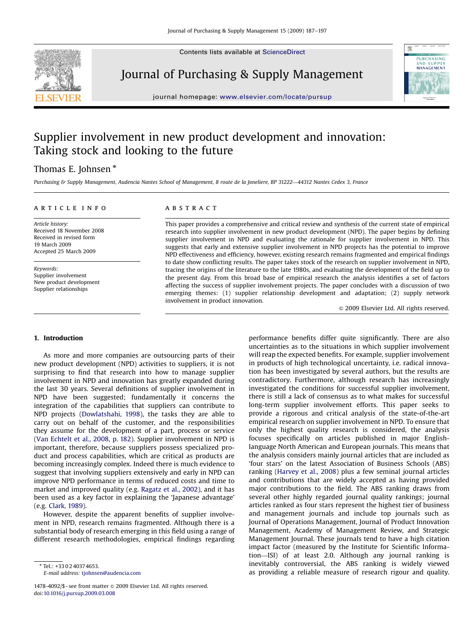Contents lists available at [ScienceDirect](www.sciencedirect.com/science/journal/pursup)



Journal of Purchasing & Supply Management



journal homepage: <www.elsevier.com/locate/pursup>

# Supplier involvement in new product development and innovation: Taking stock and looking to the future

## Thomas E. Johnsen  $^*$

Purchasing & Supply Management, Audencia Nantes School of Management, 8 route de la Joneliere, BP 31222—44312 Nantes Cedex 3, France

### article info

Article history: Received 18 November 2008 Received in revised form 19 March 2009 Accepted 25 March 2009

Keywords: Supplier involvement New product development Supplier relationships

## **ABSTRACT**

This paper provides a comprehensive and critical review and synthesis of the current state of empirical research into supplier involvement in new product development (NPD). The paper begins by defining supplier involvement in NPD and evaluating the rationale for supplier involvement in NPD. This suggests that early and extensive supplier involvement in NPD projects has the potential to improve NPD effectiveness and efficiency, however, existing research remains fragmented and empirical findings to date show conflicting results. The paper takes stock of the research on supplier involvement in NPD, tracing the origins of the literature to the late 1980s, and evaluating the development of the field up to the present day. From this broad base of empirical research the analysis identifies a set of factors affecting the success of supplier involvement projects. The paper concludes with a discussion of two emerging themes: (1) supplier relationship development and adaptation; (2) supply network involvement in product innovation.

 $\odot$  2009 Elsevier Ltd. All rights reserved.

#### 1. Introduction

As more and more companies are outsourcing parts of their new product development (NPD) activities to suppliers, it is not surprising to find that research into how to manage supplier involvement in NPD and innovation has greatly expanded during the last 30 years. Several definitions of supplier involvement in NPD have been suggested; fundamentally it concerns the integration of the capabilities that suppliers can contribute to NPD projects ([Dowlatshahi, 1998](#page--1-0)), the tasks they are able to carry out on behalf of the customer, and the responsibilities they assume for the development of a part, process or service ([Van Echtelt et al., 2008, p. 182](#page--1-0)). Supplier involvement in NPD is important, therefore, because suppliers possess specialized product and process capabilities, which are critical as products are becoming increasingly complex. Indeed there is much evidence to suggest that involving suppliers extensively and early in NPD can improve NPD performance in terms of reduced costs and time to market and improved quality (e.g. [Ragatz et al., 2002\)](#page--1-0), and it has been used as a key factor in explaining the 'Japanese advantage' (e.g. [Clark, 1989\)](#page--1-0).

However, despite the apparent benefits of supplier involvement in NPD, research remains fragmented. Although there is a substantial body of research emerging in this field using a range of different research methodologies, empirical findings regarding

- Tel.: +33 0 2 40374653. E-mail address: [tjohnsen@audencia.com](mailto:tjohnsen@audencia.com)

1478-4092/\$ - see front matter © 2009 Elsevier Ltd. All rights reserved. doi:[10.1016/j.pursup.2009.03.008](dx.doi.org/10.1016/j.pursup.2009.03.008)

performance benefits differ quite significantly. There are also uncertainties as to the situations in which supplier involvement will reap the expected benefits. For example, supplier involvement in products of high technological uncertainty, i.e. radical innovation has been investigated by several authors, but the results are contradictory. Furthermore, although research has increasingly investigated the conditions for successful supplier involvement, there is still a lack of consensus as to what makes for successful long-term supplier involvement efforts. This paper seeks to provide a rigorous and critical analysis of the state-of-the-art empirical research on supplier involvement in NPD. To ensure that only the highest quality research is considered, the analysis focuses specifically on articles published in major Englishlanguage North American and European journals. This means that the analysis considers mainly journal articles that are included as 'four stars' on the latest Association of Business Schools (ABS) ranking ([Harvey et al., 2008\)](#page--1-0) plus a few seminal journal articles and contributions that are widely accepted as having provided major contributions to the field. The ABS ranking draws from several other highly regarded journal quality rankings; journal articles ranked as four stars represent the highest tier of business and management journals and include top journals such as Journal of Operations Management, Journal of Product Innovation Management, Academy of Management Review, and Strategic Management Journal. These journals tend to have a high citation impact factor (measured by the Institute for Scientific Information—ISI) of at least 2.0. Although any journal ranking is inevitably controversial, the ABS ranking is widely viewed as providing a reliable measure of research rigour and quality.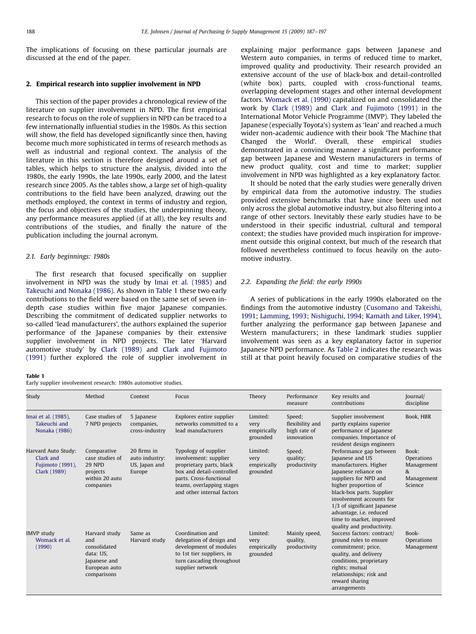The implications of focusing on these particular journals are discussed at the end of the paper.

#### 2. Empirical research into supplier involvement in NPD

This section of the paper provides a chronological review of the literature on supplier involvement in NPD. The first empirical research to focus on the role of suppliers in NPD can be traced to a few internationally influential studies in the 1980s. As this section will show, the field has developed significantly since then, having become much more sophisticated in terms of research methods as well as industrial and regional context. The analysis of the literature in this section is therefore designed around a set of tables, which helps to structure the analysis, divided into the 1980s, the early 1990s, the late 1990s, early 2000, and the latest research since 2005. As the tables show, a large set of high-quality contributions to the field have been analyzed, drawing out the methods employed, the context in terms of industry and region, the focus and objectives of the studies, the underpinning theory, any performance measures applied (if at all), the key results and contributions of the studies, and finally the nature of the publication including the journal acronym.

#### 2.1. Early beginnings: 1980s

The first research that focused specifically on supplier involvement in NPD was the study by [Imai et al. \(1985\)](#page--1-0) and [Takeuchi and Nonaka \(1986\).](#page--1-0) As shown in Table 1 these two early contributions to the field were based on the same set of seven indepth case studies within five major Japanese companies. Describing the commitment of dedicated supplier networks to so-called 'lead manufacturers', the authors explained the superior performance of the Japanese companies by their extensive supplier involvement in NPD projects. The later 'Harvard automotive study' by [Clark \(1989\)](#page--1-0) and [Clark and Fujimoto](#page--1-0) [\(1991\)](#page--1-0) further explored the role of supplier involvement in

explaining major performance gaps between Japanese and Western auto companies, in terms of reduced time to market, improved quality and productivity. Their research provided an extensive account of the use of black-box and detail-controlled (white box) parts, coupled with cross-functional teams, overlapping development stages and other internal development factors. [Womack et al. \(1990\)](#page--1-0) capitalized on and consolidated the work by [Clark \(1989\)](#page--1-0) and [Clark and Fujimoto \(1991\)](#page--1-0) in the International Motor Vehicle Programme (IMVP). They labeled the Japanese (especially Toyota's) system as 'lean' and reached a much wider non-academic audience with their book 'The Machine that Changed the World'. Overall, these empirical studies demonstrated in a convincing manner a significant performance gap between Japanese and Western manufacturers in terms of new product quality, cost and time to market; supplier involvement in NPD was highlighted as a key explanatory factor.

It should be noted that the early studies were generally driven by empirical data from the automotive industry. The studies provided extensive benchmarks that have since been used not only across the global automotive industry, but also filtering into a range of other sectors. Inevitably these early studies have to be understood in their specific industrial, cultural and temporal context; the studies have provided much inspiration for improvement outside this original context, but much of the research that followed nevertheless continued to focus heavily on the automotive industry.

#### 2.2. Expanding the field: the early 1990s

A series of publications in the early 1990s elaborated on the findings from the automotive industry ([Cusomano and Takeishi,](#page--1-0) [1991](#page--1-0); [Lamming, 1993;](#page--1-0) [Nishiguchi, 1994;](#page--1-0) [Kamath and Liker, 1994\)](#page--1-0), further analyzing the performance gap between Japanese and Western manufacturers; in these landmark studies supplier involvement was seen as a key explanatory factor in superior Japanese NPD performance. As [Table 2](#page--1-0) indicates the research was still at that point heavily focused on comparative studies of the

#### Table 1

Early supplier involvement research: 1980s automotive studies.

| Study                                                                | Method                                                                                            | Context                                                  | Focus                                                                                                                                                                                        | Theory                                      | Performance<br>measure                                  | Key results and<br>contributions                                                                                                                                                                                                                                                                                         | Journal/<br>discipline                                          |
|----------------------------------------------------------------------|---------------------------------------------------------------------------------------------------|----------------------------------------------------------|----------------------------------------------------------------------------------------------------------------------------------------------------------------------------------------------|---------------------------------------------|---------------------------------------------------------|--------------------------------------------------------------------------------------------------------------------------------------------------------------------------------------------------------------------------------------------------------------------------------------------------------------------------|-----------------------------------------------------------------|
| Imai et al. (1985).<br>Takeuchi and<br>Nonaka (1986)                 | Case studies of<br>7 NPD projects                                                                 | 5 Japanese<br>companies,<br>cross-industry               | Explores entire supplier<br>networks committed to a<br>lead manufacturers                                                                                                                    | Limited:<br>very<br>empirically<br>grounded | Speed;<br>flexibility and<br>high rate of<br>innovation | Supplier involvement<br>partly explains superior<br>performance of Japanese<br>companies. Importance of<br>resident design engineers                                                                                                                                                                                     | Book, HBR                                                       |
| Harvard Auto Study:<br>Clark and<br>Fujimoto (1991),<br>Clark (1989) | Comparative<br>case studies of<br>29 NPD<br>projects<br>within 20 auto<br>companies               | 20 firms in<br>auto industry:<br>US, Japan and<br>Europe | Typology of supplier<br>involvement: supplier<br>proprietary parts, black<br>box and detail-controlled<br>parts. Cross-functional<br>teams, overlapping stages<br>and other internal factors | Limited:<br>very<br>empirically<br>grounded | Speed;<br>quality;<br>productivity                      | Performance gap between<br>Japanese and US<br>manufacturers. Higher<br>Japanese reliance on<br>suppliers for NPD and<br>higher proportion of<br>black-box parts. Supplier<br>involvement accounts for<br>1/3 of significant Japanese<br>advantage, i.e. reduced<br>time to market, improved<br>quality and productivity. | Book:<br>Operations<br>Management<br>&<br>Management<br>Science |
| <b>IMVP</b> study<br>Womack et al.<br>(1990)                         | Harvard study<br>and<br>consolidated<br>data: US,<br>Japanese and<br>European auto<br>comparisons | Same as<br>Harvard study                                 | Coordination and<br>delegation of design and<br>development of modules<br>to 1st tier suppliers, in<br>turn cascading throughout<br>supplier network                                         | Limited:<br>very<br>empirically<br>grounded | Mainly speed,<br>quality,<br>productivity               | Success factors: contract/<br>ground rules to ensure<br>commitment; price,<br>quality, and delivery<br>conditions, proprietary<br>rights; mutual<br>relationships; risk and<br>reward sharing<br>arrangements                                                                                                            | Book-<br>Operations<br>Management                               |